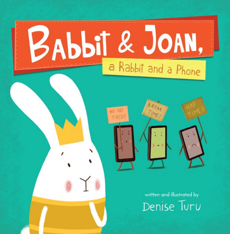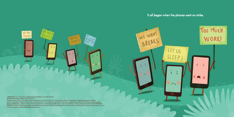## **It all began when the phones went on strike.**

LET US

**SLEEP** 

 $\sqrt{2}$ 

 $\circ$ 

BREAKS

© 2020 Denise Turu • First edition • Published by Flyaway Books • Louisville, Kentucky 20 21 22 23 24 25 26 27 28 29–10 9 8 7 6 5 4 3 2 1

WE ARE **TIRED!I** 

*All rights reserved.* No part of this book may be reproduced or transmitted in any form or by any means, electronic or mechanical, including photocopying, recording, or by any information storage or retrieval system, without permission in writing from the publisher. For information, address Flyaway Books, 100 Witherspoon Street, Louisville, Kentucky 40202-1396, or contact us online at www.flyawaybooks.com. • Book design by Allison Taylor • Text set in Josefin Sans • Library of Congress Control Number: 2019040219 PRINTED IN CHINA • Most Flyaway Books are available at special quantity discounts when purchased in bulk by corporations, organizations, and special-interest groups. For more information, please e-mail SpecialSales@flyawaybooks.com.

すぎ

OFF

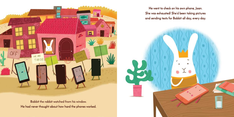

**Babbit the rabbit watched from his window. He had never thought about how hard the phones worked.** 

**He went to check on his own phone, Joan. She was exhausted! She'd been taking pictures and sending texts for Babbit all day, every day.**